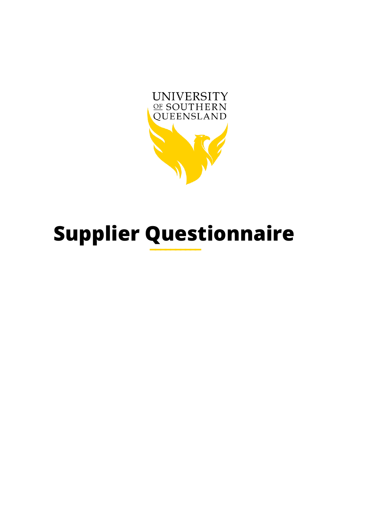

# **Supplier Questionnaire**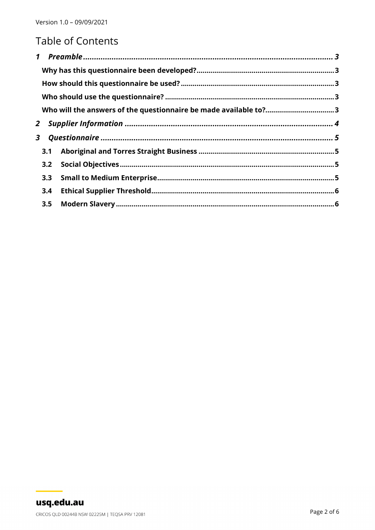# **Table of Contents**

| $\mathbf{1}$ |     |                                                                  |  |
|--------------|-----|------------------------------------------------------------------|--|
|              |     |                                                                  |  |
|              |     |                                                                  |  |
|              |     |                                                                  |  |
|              |     | Who will the answers of the questionnaire be made available to?3 |  |
| $\mathbf{2}$ |     |                                                                  |  |
| 3            |     |                                                                  |  |
|              | 3.1 |                                                                  |  |
|              | 3.2 |                                                                  |  |
|              | 3.3 |                                                                  |  |
|              | 3.4 |                                                                  |  |
|              | 3.5 |                                                                  |  |
|              |     |                                                                  |  |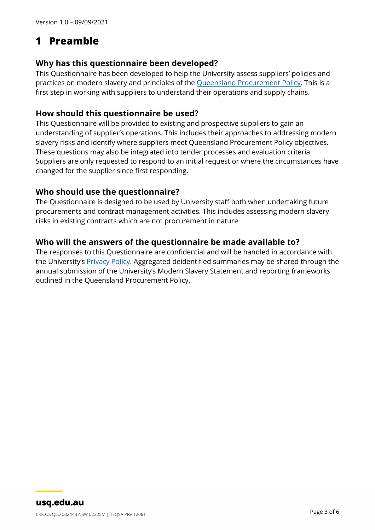# <span id="page-2-0"></span>**1 Preamble**

#### <span id="page-2-1"></span>**Why has this questionnaire been developed?**

This Questionnaire has been developed to help the University assess suppliers' policies and practices on modern slavery and principles of the [Queensland Procurement Policy.](https://www.forgov.qld.gov.au/procurement-policy) This is a first step in working with suppliers to understand their operations and supply chains.

#### <span id="page-2-2"></span>**How should this questionnaire be used?**

This Questionnaire will be provided to existing and prospective suppliers to gain an understanding of supplier's operations. This includes their approaches to addressing modern slavery risks and identify where suppliers meet Queensland Procurement Policy objectives. These questions may also be integrated into tender processes and evaluation criteria. Suppliers are only requested to respond to an initial request or where the circumstances have changed for the supplier since first responding.

#### <span id="page-2-3"></span>**Who should use the questionnaire?**

The Questionnaire is designed to be used by University staff both when undertaking future procurements and contract management activities. This includes assessing modern slavery risks in existing contracts which are not procurement in nature.

#### <span id="page-2-4"></span>**Who will the answers of the questionnaire be made available to?**

The responses to this Questionnaire are confidential and will be handled in accordance with the University's **Privacy Policy**. Aggregated deidentified summaries may be shared through the annual submission of the University's Modern Slavery Statement and reporting frameworks outlined in the Queensland Procurement Policy.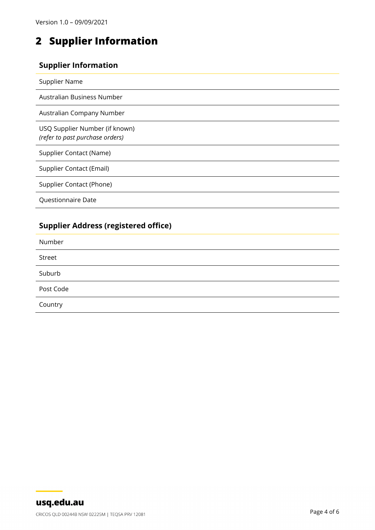# <span id="page-3-0"></span>**2 Supplier Information**

#### **Supplier Information**

| Supplier Name                                                     |
|-------------------------------------------------------------------|
| Australian Business Number                                        |
| Australian Company Number                                         |
| USQ Supplier Number (if known)<br>(refer to past purchase orders) |
| Supplier Contact (Name)                                           |
| Supplier Contact (Email)                                          |
| Supplier Contact (Phone)                                          |
| Questionnaire Date                                                |
|                                                                   |

## **Supplier Address (registered office)**

| Number    |  |
|-----------|--|
| Street    |  |
| Suburb    |  |
| Post Code |  |
| Country   |  |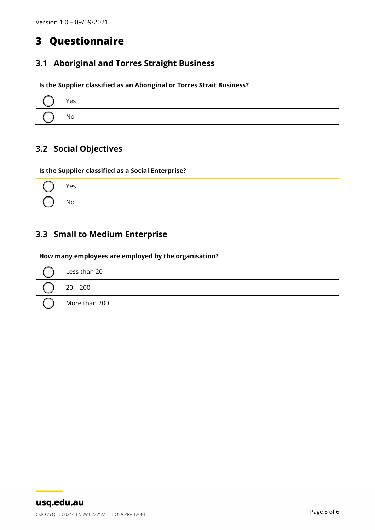# <span id="page-4-0"></span>**3 Questionnaire**

## <span id="page-4-1"></span>**3.1 Aboriginal and Torres Straight Business**

**Is the Supplier classified as an Aboriginal or Torres Strait Business?**

| $()$ Yes |  |
|----------|--|
| $()$ No  |  |

## <span id="page-4-2"></span>**3.2 Social Objectives**

**Is the Supplier classified as a Social Enterprise?**



## <span id="page-4-3"></span>**3.3 Small to Medium Enterprise**

#### **How many employees are employed by the organisation?**

| Less than 20  |
|---------------|
| $20 - 200$    |
| More than 200 |